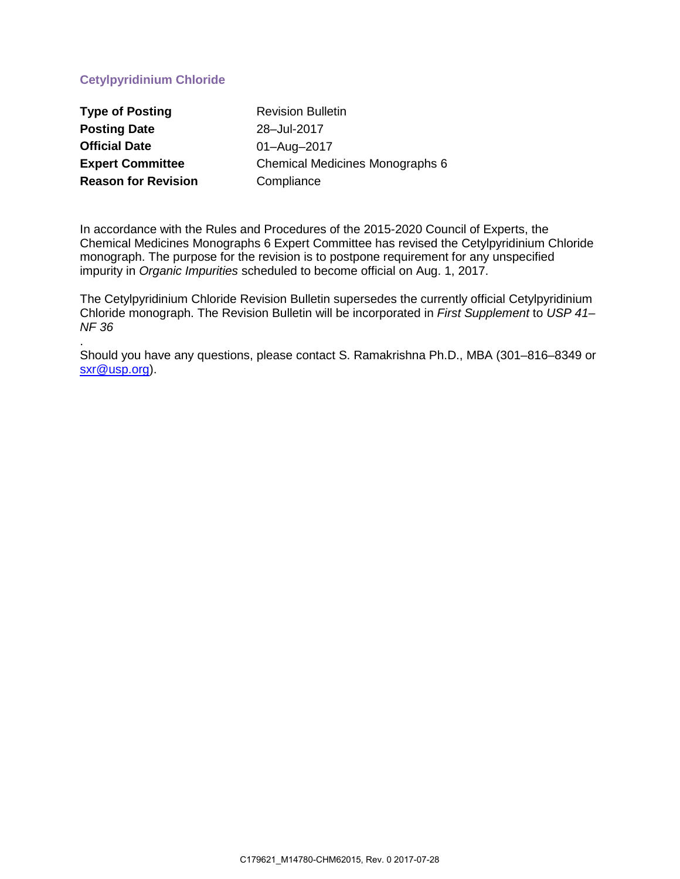## **Cetylpyridinium Chloride**

**Type of Posting Type of Posting Revision Bulletin Posting Date** 28-Jul-2017 **Official Date** 01-Aug-2017 **Reason for Revision** Compliance

**Expert Committee Chemical Medicines Monographs 6** 

In accordance with the Rules and Procedures of the 2015-2020 Council of Experts, the Chemical Medicines Monographs 6 Expert Committee has revised the Cetylpyridinium Chloride monograph. The purpose for the revision is to postpone requirement for any unspecified impurity in *Organic Impurities* scheduled to become official on Aug. 1, 2017.

The Cetylpyridinium Chloride Revision Bulletin supersedes the currently official Cetylpyridinium Chloride monograph. The Revision Bulletin will be incorporated in *First Supplement* to *USP 41– NF 36*

. Should you have any questions, please contact S. Ramakrishna Ph.D., MBA (301–816–8349 or [sxr@usp.org\)](mailto:sxr@usp.org).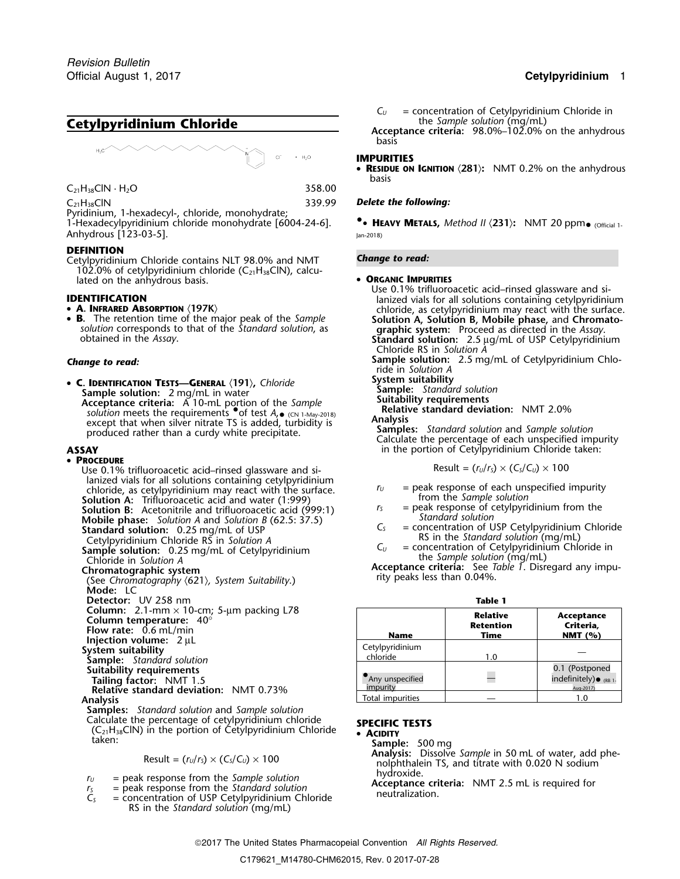# **Cetylpyridinium Chloride**

$$
H_2C \xrightarrow{\qquad \qquad } C \qquad \qquad \text{or} \qquad H_2O
$$

 $C_{21}H_{38}CIN \cdot H_2O$  358.00

Pyridinium, 1-hexadecyl-, chloride, monohydrate; 1-Hexadecylpyridinium chloride monohydrate [6004-24-6]. Anhydrous [123-03-5]. Jan-2018)

## **DEFINITION**

Cetylpyridinium Chloride contains NLT 98.0% and NMT *Change to read:* 102.0% of cetylpyridinium chloride ( $C_{21}H_{38}CIN$ ), calculated on the anhydrous basis.<br>Use 0.1% trifluoroacetic acid–rinsed glassware and si-

- A. INFRARED ABSORPTION (197K)
- •**B.** The retention time of the major peak of the *Sample* **Solution A, Solution B, Mobile phase,** and Chromato-*solution* corresponds to that of the *Standard solution*, as **a graphic system:** Proceed as directed in the

• C. IDENTIFICATION TESTS—GENERAL (191), Chloride System suitability<br>Sample solution: 2 mg/mL in water Standard Standard solution **Acceptance criteria: Suitability requirements** A 10-mL portion of the *Sample* solution meets the requirements <sup>•</sup> of test *A*, **e**<sub>(CN 1-May-2018) **Relative standard deviation:** NMT 2.0%</sub> Solution meets the requirements of test A,  $\bullet$  ( $\circ$  1-May-2018)<br>
except that when silver nitrate TS is added, turbidity is<br>
produced rather than a curdy white precipitate.<br>
Produced rather than a curdy white precipitate.

• **PROCEDURE** Use 0.1% trifluoroacetic acid–rinsed glassware and silianized vials for all solutions containing cetylpyridinium Form the Sample solution A: Consider the summary extraction of the surface.<br>
Solution A: Trilluoroacetic acid and water (1:999)<br>
Solution A: Trilluoroacetic acid and water (1:999)<br>
Solution B: Acetonitrile and trilluoroac **Mobile phase:** *Solution A* and *Solution B* (62.5: 37.5)<br> **Standard solution:** 0.25 mg/mL of USP (62.5: 37.5)<br> **C**<sub>S</sub> = concentration of USP Cetylpyridinium Chloride **RS** in Solution A<br> **RS** in the *Standard solution* (m Cetylpyridinium Chloride RS in *Solution* A<br> **Sample solution:** 0.25 mg/mL of Cetylpyridinium<br>
C<sub>*U*</sub> = concentration of Cetylpyridinium Chloride in the *Sample solution* (mg/mL)<br>
the *Sample solution* (mg/mL) Chloride in the *Sample solution* (mg/mL) *Solution A* **Chromatographic system Acceptance criteria:** See *Table 1*. Disregard any impu**ritherigrity peaks less than dependence of the chromatographic system Suitability.)**<br>(See *Chromatography* \621\), *System Suitability*.) Tity peaks less than 0.04%. **Mode:** LC **Detector:** UV 258 nm **Table 1 Column:** 2.1-mm × 10-cm; 5-µm packing L78 **Relative Acceptance Column temperature:** 40° **Retention Criteria, Flow rate:** 0.6 mL/min **Name Time NMT (%) Injection volume:**<sup>2</sup> <sup>µ</sup><sup>L</sup> Injection volume: 2 µL<br>System suitability<br>Sample: *Standard solution* **Suitability requirements<br>Tailing factor: NMT 1.5 Relative standard deviation:** NMT 0.73% **Analysis** Total impurities and the contract of the contract of the contract of the contract of the contract of the contract of the contract of the contract of the contract of the contract of the contract of the contract o **Samples:** *Standard solution* and *Sample solution* Calculate the percentage of cetylpyridinium chloride **SPECIFIC TESTS** (C<sub>21</sub>H<sub>38</sub>ClN) in the portion of Cetylpyridinium Chloride • **ACIDITY** Learn Control of Cetylpynamian Chionae **Control of Acibity**<br>taken: **Sample:** 500 mg

$$
Result = (r_U/r_S) \times (C_S/C_U) \times 100
$$

- 
- RS in the *Standard solution* (mg/mL)

```
C_U = concentration of Cetylpyridinium Chloride in the Sample solution (mq/mL)
```
**Acceptance criteria:** 98.0%–102.0% on the anhydrous basis

## **IMPURITIES**

• **RESIDUE ON IGNITION** 〈**281**〉**:** NMT 0.2% on the anhydrous basis

## C<sub>21</sub>H<sub>38</sub>ClN 21H<sub>38</sub>ClN 339.99 **Delete the following:**

• **HEAVY METALS,** Method II  $\langle 231 \rangle$ : NMT 20 ppm. (Official 1-

**IDENTIFICATION IDENTIFICATION ISSUE 2.1 TRIFLUOR** lanized vials for all solutions containing cetylpyridinium **A.** INFRARED ABSORPTION  $\langle 197K \rangle$ <br>**B.** The retention time of the major peak of the *Sample* **change in Solution A. Solution B. Mobile phase, and Chromato-**

solution corresponds to that of the Standard solution, as **and praphic system:** Proceed as directed in the Assay.<br>**Standard solution:** 2.5 µg/mL of USP Cetylpyridinium<br>Chloride RS in Solution A

*Change to read:* **Sample solution:** 2.5 mg/mL of Cetylpyridinium Chloride in *Solution A*

- 
- 
- 

**ASSAY EXECUTE: ASSAY IDENTIFY ASSAY in the portion of Cetylpyridinium Chloride taken:** 

$$
Result = (r_U/r_S) \times (C_S/C_U) \times 100
$$

- 
- 
- 
- 

| <b>Name</b>                 | <b>Relative</b><br><b>Retention</b><br>Time | Acceptance<br>Criteria,<br>NMT $(%)$                          |
|-----------------------------|---------------------------------------------|---------------------------------------------------------------|
| Cetylpyridinium<br>chloride | 1.0                                         |                                                               |
| Any unspecified<br>impurity |                                             | 0.1 (Postponed<br>$indefinitely) \bullet$ (RB 1.<br>Aug-2017) |
| <b>Total impurities</b>     |                                             | 1.0                                                           |

**Analysis:** Dissolve *Sample* in 50 mL of water, add phe-<br>nolphthalein TS, and titrate with 0.020 N sodium<br>hydroxide.

 $r_U$  = peak response from the Sample solution<br>  $r_S$  = peak response from the Standard solution<br>  $C_S$  = concentration of USP Cetylpyridinium Chloride meutralization.